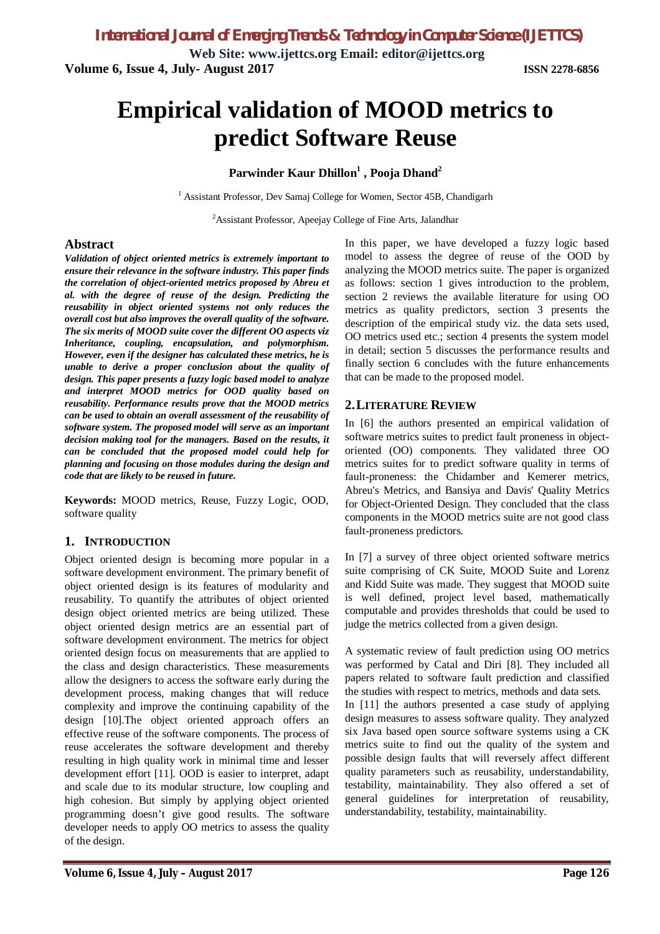**Web Site: www.ijettcs.org Email: editor@ijettcs.org Volume 6, Issue 4, July- August 2017 ISSN 2278-6856**

# **Empirical validation of MOOD metrics to predict Software Reuse**

# **Parwinder Kaur Dhillon<sup>1</sup> , Pooja Dhand<sup>2</sup>**

<sup>1</sup> Assistant Professor, Dev Samaj College for Women, Sector 45B, Chandigarh

<sup>2</sup> Assistant Professor, Apeejay College of Fine Arts, Jalandhar

# **Abstract**

*Validation of object oriented metrics is extremely important to ensure their relevance in the software industry. This paper finds the correlation of object-oriented metrics proposed by Abreu et al. with the degree of reuse of the design. Predicting the reusability in object oriented systems not only reduces the overall cost but also improves the overall quality of the software. The six merits of MOOD suite cover the different OO aspects viz Inheritance, coupling, encapsulation, and polymorphism. However, even if the designer has calculated these metrics, he is unable to derive a proper conclusion about the quality of design. This paper presents a fuzzy logic based model to analyze and interpret MOOD metrics for OOD quality based on reusability. Performance results prove that the MOOD metrics can be used to obtain an overall assessment of the reusability of software system. The proposed model will serve as an important decision making tool for the managers. Based on the results, it can be concluded that the proposed model could help for planning and focusing on those modules during the design and code that are likely to be reused in future.*

**Keywords:** MOOD metrics, Reuse, Fuzzy Logic, OOD, software quality

# **1. INTRODUCTION**

Object oriented design is becoming more popular in a software development environment. The primary benefit of object oriented design is its features of modularity and reusability. To quantify the attributes of object oriented design object oriented metrics are being utilized. These object oriented design metrics are an essential part of software development environment. The metrics for object oriented design focus on measurements that are applied to the class and design characteristics. These measurements allow the designers to access the software early during the development process, making changes that will reduce complexity and improve the continuing capability of the design [10].The object oriented approach offers an effective reuse of the software components. The process of reuse accelerates the software development and thereby resulting in high quality work in minimal time and lesser development effort [11]. OOD is easier to interpret, adapt and scale due to its modular structure, low coupling and high cohesion. But simply by applying object oriented programming doesn't give good results. The software developer needs to apply OO metrics to assess the quality of the design.

In this paper, we have developed a fuzzy logic based model to assess the degree of reuse of the OOD by analyzing the MOOD metrics suite. The paper is organized as follows: section 1 gives introduction to the problem, section 2 reviews the available literature for using OO metrics as quality predictors, section 3 presents the description of the empirical study viz. the data sets used, OO metrics used etc.; section 4 presents the system model in detail; section 5 discusses the performance results and finally section 6 concludes with the future enhancements that can be made to the proposed model.

# **2.LITERATURE REVIEW**

In [6] the authors presented an empirical validation of software metrics suites to predict fault proneness in objectoriented (OO) components. They validated three OO metrics suites for to predict software quality in terms of fault-proneness: the Chidamber and Kemerer metrics, Abreu's Metrics, and Bansiya and Davis' Quality Metrics for Object-Oriented Design. They concluded that the class components in the MOOD metrics suite are not good class fault-proneness predictors.

In [7] a survey of three object oriented software metrics suite comprising of CK Suite, MOOD Suite and Lorenz and Kidd Suite was made. They suggest that MOOD suite is well defined, project level based, mathematically computable and provides thresholds that could be used to judge the metrics collected from a given design.

A systematic review of fault prediction using OO metrics was performed by Catal and Diri [8]. They included all papers related to software fault prediction and classified the studies with respect to metrics, methods and data sets. In [11] the authors presented a case study of applying design measures to assess software quality. They analyzed six Java based open source software systems using a CK metrics suite to find out the quality of the system and possible design faults that will reversely affect different quality parameters such as reusability, understandability, testability, maintainability. They also offered a set of general guidelines for interpretation of reusability, understandability, testability, maintainability.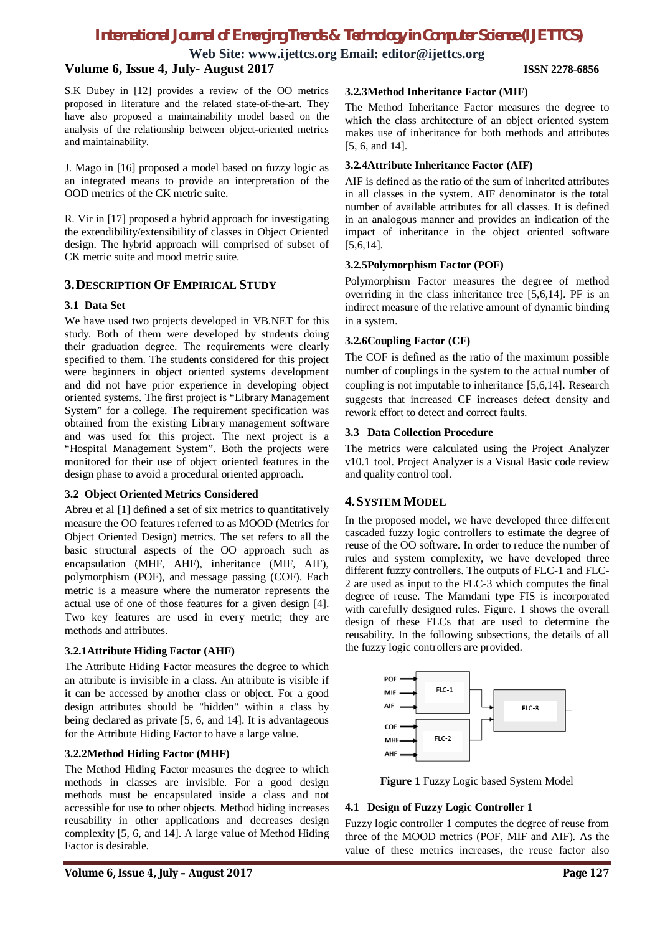**Web Site: www.ijettcs.org Email: editor@ijettcs.org**

# **Volume 6, Issue 4, July- August 2017 ISSN 2278-6856**

S.K Dubey in [12] provides a review of the OO metrics proposed in literature and the related state-of-the-art. They have also proposed a maintainability model based on the analysis of the relationship between object-oriented metrics and maintainability.

J. Mago in [16] proposed a model based on fuzzy logic as an integrated means to provide an interpretation of the OOD metrics of the CK metric suite.

R. Vir in [17] proposed a hybrid approach for investigating the extendibility/extensibility of classes in Object Oriented design. The hybrid approach will comprised of subset of CK metric suite and mood metric suite.

# **3.DESCRIPTION OF EMPIRICAL STUDY**

# **3.1 Data Set**

We have used two projects developed in VB.NET for this study. Both of them were developed by students doing their graduation degree. The requirements were clearly specified to them. The students considered for this project were beginners in object oriented systems development and did not have prior experience in developing object oriented systems. The first project is "Library Management System" for a college. The requirement specification was obtained from the existing Library management software and was used for this project. The next project is a "Hospital Management System". Both the projects were monitored for their use of object oriented features in the design phase to avoid a procedural oriented approach.

### **3.2 Object Oriented Metrics Considered**

Abreu et al [1] defined a set of six metrics to quantitatively measure the OO features referred to as MOOD (Metrics for Object Oriented Design) metrics. The set refers to all the basic structural aspects of the OO approach such as encapsulation (MHF, AHF), inheritance (MIF, AIF), polymorphism (POF), and message passing (COF). Each metric is a measure where the numerator represents the actual use of one of those features for a given design [4]. Two key features are used in every metric; they are methods and attributes.

# **3.2.1Attribute Hiding Factor (AHF)**

The Attribute Hiding Factor measures the degree to which an attribute is invisible in a class. An attribute is visible if it can be accessed by another class or object. For a good design attributes should be "hidden" within a class by being declared as private [5, 6, and 14]. It is advantageous for the Attribute Hiding Factor to have a large value.

# **3.2.2Method Hiding Factor (MHF)**

The Method Hiding Factor measures the degree to which methods in classes are invisible. For a good design methods must be encapsulated inside a class and not accessible for use to other objects. Method hiding increases reusability in other applications and decreases design complexity [5, 6, and 14]. A large value of Method Hiding Factor is desirable.

### **3.2.3Method Inheritance Factor (MIF)**

The Method Inheritance Factor measures the degree to which the class architecture of an object oriented system makes use of inheritance for both methods and attributes [5, 6, and 14].

# **3.2.4Attribute Inheritance Factor (AIF)**

AIF is defined as the ratio of the sum of inherited attributes in all classes in the system. AIF denominator is the total number of available attributes for all classes. It is defined in an analogous manner and provides an indication of the impact of inheritance in the object oriented software [5,6,14].

### **3.2.5Polymorphism Factor (POF)**

Polymorphism Factor measures the degree of method overriding in the class inheritance tree [5,6,14]. PF is an indirect measure of the relative amount of dynamic binding in a system.

# **3.2.6Coupling Factor (CF)**

The COF is defined as the ratio of the maximum possible number of couplings in the system to the actual number of coupling is not imputable to inheritance [5,6,14]. Research suggests that increased CF increases defect density and rework effort to detect and correct faults.

# **3.3 Data Collection Procedure**

The metrics were calculated using the Project Analyzer v10.1 tool. Project Analyzer is a Visual Basic code review and quality control tool.

# **4.SYSTEM MODEL**

In the proposed model, we have developed three different cascaded fuzzy logic controllers to estimate the degree of reuse of the OO software. In order to reduce the number of rules and system complexity, we have developed three different fuzzy controllers. The outputs of FLC-1 and FLC-2 are used as input to the FLC-3 which computes the final degree of reuse. The Mamdani type FIS is incorporated with carefully designed rules. Figure. 1 shows the overall design of these FLCs that are used to determine the reusability. In the following subsections, the details of all the fuzzy logic controllers are provided.



**Figure 1** Fuzzy Logic based System Model

# **4.1 Design of Fuzzy Logic Controller 1**

Fuzzy logic controller 1 computes the degree of reuse from three of the MOOD metrics (POF, MIF and AIF). As the value of these metrics increases, the reuse factor also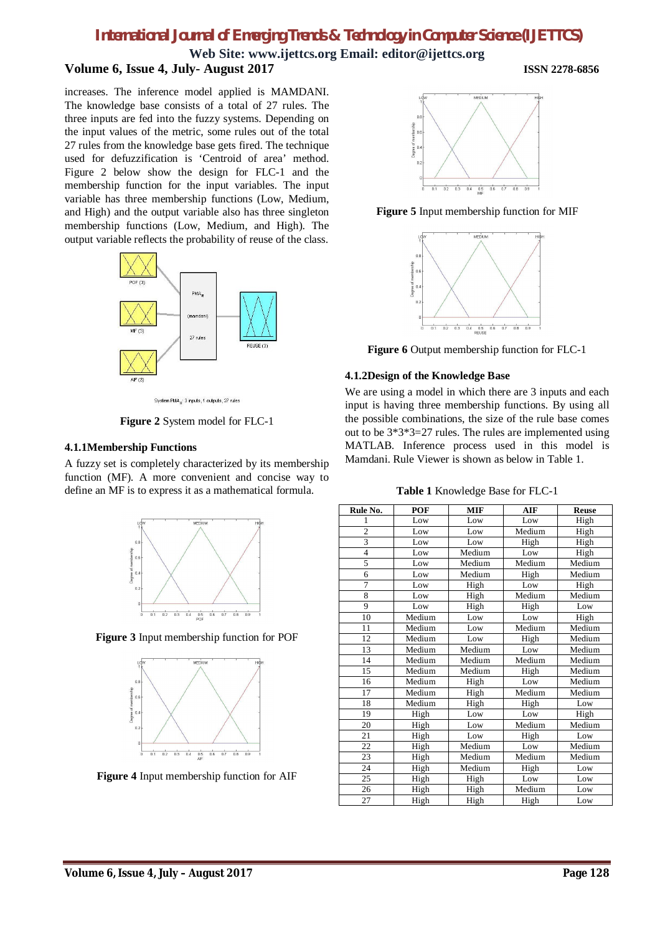# **Web Site: www.ijettcs.org Email: editor@ijettcs.org Volume 6, Issue 4, July- August 2017 ISSN 2278-6856**

increases. The inference model applied is MAMDANI. The knowledge base consists of a total of 27 rules. The three inputs are fed into the fuzzy systems. Depending on the input values of the metric, some rules out of the total 27 rules from the knowledge base gets fired. The technique used for defuzzification is 'Centroid of area' method. Figure 2 below show the design for FLC-1 and the membership function for the input variables. The input variable has three membership functions (Low, Medium, and High) and the output variable also has three singleton membership functions (Low, Medium, and High). The output variable reflects the probability of reuse of the class.



System PMA .: 3 inputs, 1 outputs, 27 rules

**Figure 2** System model for FLC-1

# **4.1.1Membership Functions**

A fuzzy set is completely characterized by its membership function (MF). A more convenient and concise way to define an MF is to express it as a mathematical formula.



**Figure 3** Input membership function for POF



**Figure 4** Input membership function for AIF



**Figure 5** Input membership function for MIF



**Figure 6** Output membership function for FLC-1

# **4.1.2Design of the Knowledge Base**

We are using a model in which there are 3 inputs and each input is having three membership functions. By using all the possible combinations, the size of the rule base comes out to be 3\*3\*3=27 rules. The rules are implemented using MATLAB. Inference process used in this model is Mamdani. Rule Viewer is shown as below in Table 1.

**Table 1** Knowledge Base for FLC-1

| Rule No.       | POF    | <b>MIF</b> | <b>AIF</b> | <b>Reuse</b> |
|----------------|--------|------------|------------|--------------|
| 1              | Low    | Low        | Low        | High         |
| $\overline{c}$ | Low    | Low        | Medium     | High         |
| 3              | Low    | Low        | High       | High         |
| $\overline{4}$ | Low    | Medium     | Low        | High         |
| 5              | Low    | Medium     | Medium     | Medium       |
| 6              | Low    | Medium     | High       | Medium       |
| 7              | Low    | High       | Low        | High         |
| 8              | Low    | High       | Medium     | Medium       |
| 9              | Low    | High       | High       | Low          |
| 10             | Medium | Low        | Low        | High         |
| 11             | Medium | Low        | Medium     | Medium       |
| 12             | Medium | Low        | High       | Medium       |
| 13             | Medium | Medium     | Low        | Medium       |
| 14             | Medium | Medium     | Medium     | Medium       |
| 15             | Medium | Medium     | High       | Medium       |
| 16             | Medium | High       | Low        | Medium       |
| 17             | Medium | High       | Medium     | Medium       |
| 18             | Medium | High       | High       | Low          |
| 19             | High   | Low        | Low        | High         |
| 20             | High   | Low        | Medium     | Medium       |
| 21             | High   | Low        | High       | Low          |
| 22             | High   | Medium     | Low        | Medium       |
| 23             | High   | Medium     | Medium     | Medium       |
| 24             | High   | Medium     | High       | Low          |
| 25             | High   | High       | Low        | Low          |
| 26             | High   | High       | Medium     | Low          |
| 27             | High   | High       | High       | Low          |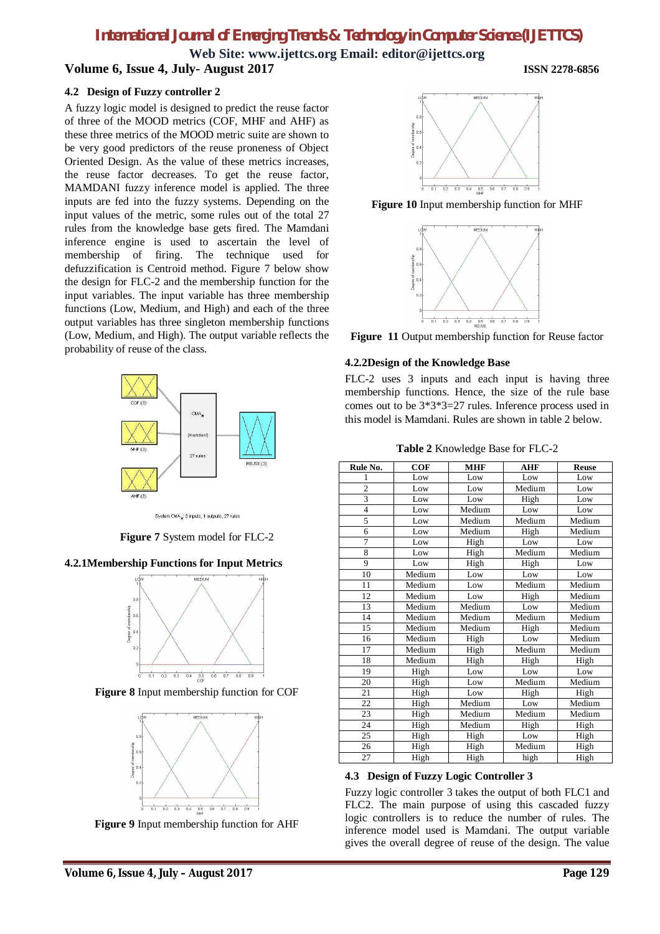**Web Site: www.ijettcs.org Email: editor@ijettcs.org Volume 6, Issue 4, July- August 2017 ISSN 2278-6856**

# **4.2 Design of Fuzzy controller 2**

A fuzzy logic model is designed to predict the reuse factor of three of the MOOD metrics (COF, MHF and AHF) as these three metrics of the MOOD metric suite are shown to be very good predictors of the reuse proneness of Object Oriented Design. As the value of these metrics increases, the reuse factor decreases. To get the reuse factor, MAMDANI fuzzy inference model is applied. The three inputs are fed into the fuzzy systems. Depending on the input values of the metric, some rules out of the total 27 rules from the knowledge base gets fired. The Mamdani inference engine is used to ascertain the level of membership of firing. The technique used for defuzzification is Centroid method. Figure 7 below show the design for FLC-2 and the membership function for the input variables. The input variable has three membership functions (Low, Medium, and High) and each of the three output variables has three singleton membership functions (Low, Medium, and High). The output variable reflects the probability of reuse of the class.



System CMA<sub>R</sub>: 3 inputs, 1 outputs, 27 rules

**Figure 7** System model for FLC-2

### **4.2.1Membership Functions for Input Metrics**



**Figure 8** Input membership function for COF



**Figure 9** Input membership function for AHF



**Figure 10** Input membership function for MHF



**Figure 11** Output membership function for Reuse factor

#### **4.2.2Design of the Knowledge Base**

FLC-2 uses 3 inputs and each input is having three membership functions. Hence, the size of the rule base comes out to be 3\*3\*3=27 rules. Inference process used in this model is Mamdani. Rules are shown in table 2 below.

**Table 2** Knowledge Base for FLC-2

| Rule No.                | COF    | <b>MHF</b> | <b>AHF</b> | <b>Reuse</b> |
|-------------------------|--------|------------|------------|--------------|
| 1                       | Low    | Low        | Low        | Low          |
| $\overline{c}$          | Low    | Low        | Medium     | Low          |
| $\overline{\mathbf{3}}$ | Low    | Low        | High       | Low          |
| $\overline{4}$          | Low    | Medium     | Low        | Low          |
| 5                       | Low    | Medium     | Medium     | Medium       |
| 6                       | Low    | Medium     | High       | Medium       |
| $\overline{7}$          | Low    | High       | Low        | Low          |
| 8                       | Low    | High       | Medium     | Medium       |
| 9                       | Low    | High       | High       | Low          |
| 10                      | Medium | Low        | Low        | Low          |
| 11                      | Medium | Low        | Medium     | Medium       |
| 12                      | Medium | Low        | High       | Medium       |
| 13                      | Medium | Medium     | Low        | Medium       |
| 14                      | Medium | Medium     | Medium     | Medium       |
| 15                      | Medium | Medium     | High       | Medium       |
| 16                      | Medium | High       | Low        | Medium       |
| 17                      | Medium | High       | Medium     | Medium       |
| 18                      | Medium | High       | High       | High         |
| 19                      | High   | Low        | Low        | Low          |
| 20                      | High   | Low        | Medium     | Medium       |
| 21                      | High   | Low        | High       | High         |
| 22                      | High   | Medium     | Low        | Medium       |
| 23                      | High   | Medium     | Medium     | Medium       |
| 24                      | High   | Medium     | High       | High         |
| 25                      | High   | High       | Low        | High         |
| 26                      | High   | High       | Medium     | High         |
| 27                      | High   | High       | high       | High         |

### **4.3 Design of Fuzzy Logic Controller 3**

Fuzzy logic controller 3 takes the output of both FLC1 and FLC2. The main purpose of using this cascaded fuzzy logic controllers is to reduce the number of rules. The inference model used is Mamdani. The output variable gives the overall degree of reuse of the design. The value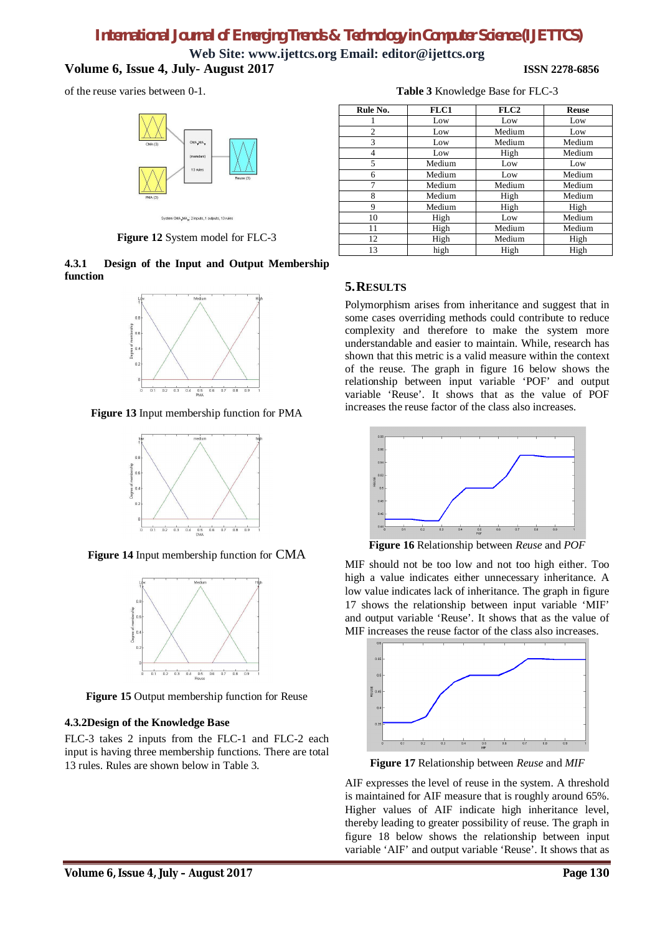**Web Site: www.ijettcs.org Email: editor@ijettcs.org Volume 6, Issue 4, July- August 2017 ISSN 2278-6856**

of the reuse varies between 0-1.



**Figure 12** System model for FLC-3

**4.3.1 Design of the Input and Output Membership function** 



**Figure 13** Input membership function for PMA



**Figure 14** Input membership function for CMA



**Figure 15** Output membership function for Reuse

# **4.3.2Design of the Knowledge Base**

FLC-3 takes 2 inputs from the FLC-1 and FLC-2 each input is having three membership functions. There are total 13 rules. Rules are shown below in Table 3.

| Rule No. | <b>FLC1</b> | FLC2   | Reuse  |
|----------|-------------|--------|--------|
|          | Low         | Low    | Low    |
| 2        | Low         | Medium | Low    |
| 3        | Low         | Medium | Medium |
| 4        | Low         | High   | Medium |
| 5        | Medium      | Low    | Low    |
| 6        | Medium      | Low    | Medium |
| 7        | Medium      | Medium | Medium |
| 8        | Medium      | High   | Medium |
| 9        | Medium      | High   | High   |
| 10       | High        | Low    | Medium |
| 11       | High        | Medium | Medium |
| 12       | High        | Medium | High   |
| 13       | high        | High   | High   |

**Table 3** Knowledge Base for FLC-3

# **5.RESULTS**

Polymorphism arises from inheritance and suggest that in some cases overriding methods could contribute to reduce complexity and therefore to make the system more understandable and easier to maintain. While, research has shown that this metric is a valid measure within the context of the reuse. The graph in figure 16 below shows the relationship between input variable 'POF' and output variable 'Reuse'. It shows that as the value of POF increases the reuse factor of the class also increases.



**Figure 16** Relationship between *Reuse* and *POF*

MIF should not be too low and not too high either. Too high a value indicates either unnecessary inheritance. A low value indicates lack of inheritance. The graph in figure 17 shows the relationship between input variable 'MIF' and output variable 'Reuse'. It shows that as the value of MIF increases the reuse factor of the class also increases.



**Figure 17** Relationship between *Reuse* and *MIF*

AIF expresses the level of reuse in the system. A threshold is maintained for AIF measure that is roughly around 65%. Higher values of AIF indicate high inheritance level, thereby leading to greater possibility of reuse. The graph in figure 18 below shows the relationship between input variable 'AIF' and output variable 'Reuse'. It shows that as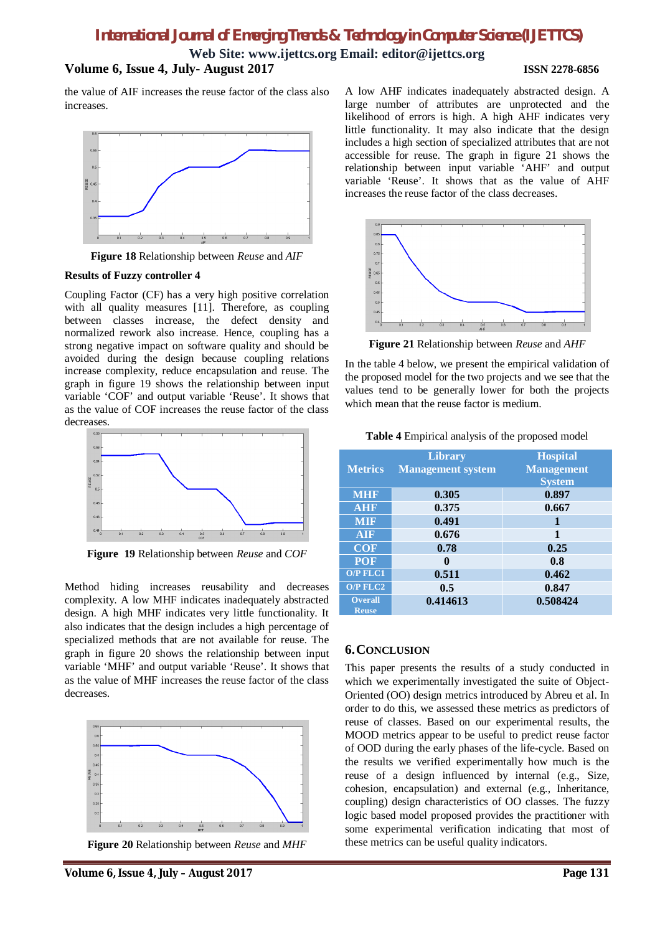**Web Site: www.ijettcs.org Email: editor@ijettcs.org Volume 6, Issue 4, July- August 2017 ISSN 2278-6856**

the value of AIF increases the reuse factor of the class also increases.



**Figure 18** Relationship between *Reuse* and *AIF*

### **Results of Fuzzy controller 4**

Coupling Factor (CF) has a very high positive correlation with all quality measures [11]. Therefore, as coupling between classes increase, the defect density and normalized rework also increase. Hence, coupling has a strong negative impact on software quality and should be avoided during the design because coupling relations increase complexity, reduce encapsulation and reuse. The graph in figure 19 shows the relationship between input variable 'COF' and output variable 'Reuse'. It shows that as the value of COF increases the reuse factor of the class decreases.



**Figure 19** Relationship between *Reuse* and *COF*

Method hiding increases reusability and decreases complexity. A low MHF indicates inadequately abstracted design. A high MHF indicates very little functionality. It also indicates that the design includes a high percentage of specialized methods that are not available for reuse. The graph in figure 20 shows the relationship between input variable 'MHF' and output variable 'Reuse'. It shows that as the value of MHF increases the reuse factor of the class decreases.



**Figure 20** Relationship between *Reuse* and *MHF*

A low AHF indicates inadequately abstracted design. A large number of attributes are unprotected and the likelihood of errors is high. A high AHF indicates very little functionality. It may also indicate that the design includes a high section of specialized attributes that are not accessible for reuse. The graph in figure 21 shows the relationship between input variable 'AHF' and output variable 'Reuse'. It shows that as the value of AHF increases the reuse factor of the class decreases.



**Figure 21** Relationship between *Reuse* and *AHF*

In the table 4 below, we present the empirical validation of the proposed model for the two projects and we see that the values tend to be generally lower for both the projects which mean that the reuse factor is medium.

**Table 4** Empirical analysis of the proposed model

| <b>Metrics</b>                 | <b>Library</b><br><b>Management system</b> | <b>Hospital</b><br><b>Management</b><br><b>System</b> |
|--------------------------------|--------------------------------------------|-------------------------------------------------------|
| <b>MHF</b>                     | 0.305                                      | 0.897                                                 |
| <b>AHF</b>                     | 0.375                                      | 0.667                                                 |
| <b>MIF</b>                     | 0.491                                      | 1                                                     |
| <b>AIF</b>                     | 0.676                                      | 1                                                     |
| <b>COF</b>                     | 0.78                                       | 0.25                                                  |
| <b>POF</b>                     | 0                                          | 0.8                                                   |
| <b>O/P FLC1</b>                | 0.511                                      | 0.462                                                 |
| <b>O/P FLC2</b>                | 0.5                                        | 0.847                                                 |
| <b>Overall</b><br><b>Reuse</b> | 0.414613                                   | 0.508424                                              |

# **6.CONCLUSION**

This paper presents the results of a study conducted in which we experimentally investigated the suite of Object-Oriented (OO) design metrics introduced by Abreu et al. In order to do this, we assessed these metrics as predictors of reuse of classes. Based on our experimental results, the MOOD metrics appear to be useful to predict reuse factor of OOD during the early phases of the life-cycle. Based on the results we verified experimentally how much is the reuse of a design influenced by internal (e.g., Size, cohesion, encapsulation) and external (e.g., Inheritance, coupling) design characteristics of OO classes. The fuzzy logic based model proposed provides the practitioner with some experimental verification indicating that most of these metrics can be useful quality indicators.